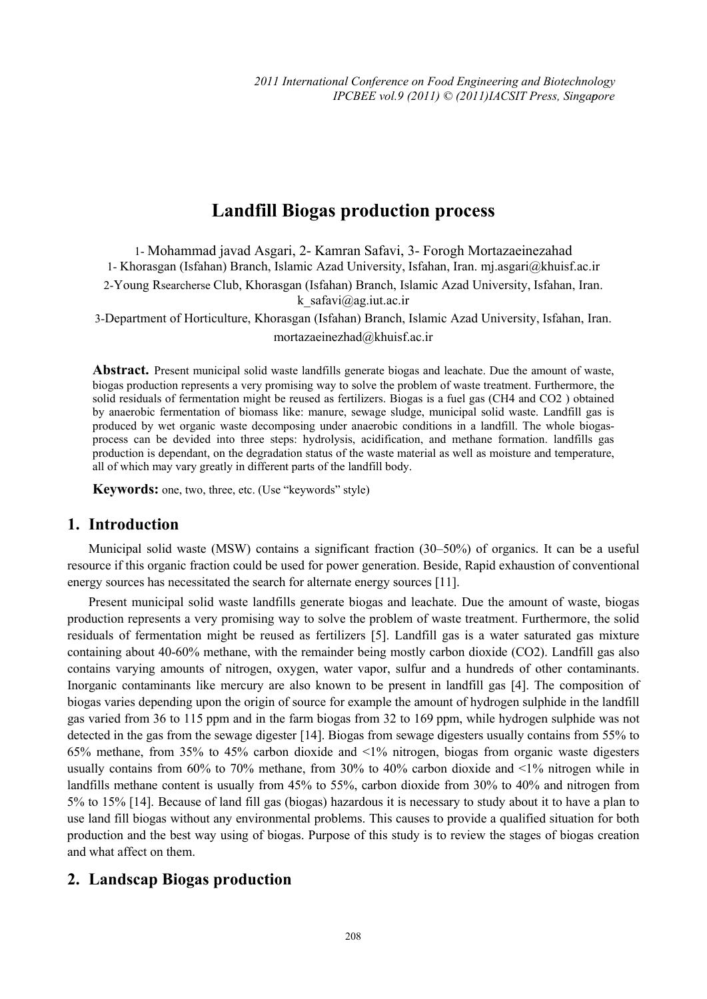# **Landfill Biogas production process**

1- Mohammad javad Asgari, 2- Kamran Safavi, 3- Forogh Mortazaeinezahad 1- Khorasgan (Isfahan) Branch, Islamic Azad University, Isfahan, Iran. mj.asgari@khuisf.ac.ir 2-Young Rsearcherse Club, Khorasgan (Isfahan) Branch, Islamic Azad University, Isfahan, Iran. k\_safavi@ag.iut.ac.ir 3-Department of Horticulture, Khorasgan (Isfahan) Branch, Islamic Azad University, Isfahan, Iran.

mortazaeinezhad@khuisf.ac.ir

**Abstract.** Present municipal solid waste landfills generate biogas and leachate. Due the amount of waste, biogas production represents a very promising way to solve the problem of waste treatment. Furthermore, the solid residuals of fermentation might be reused as fertilizers. Biogas is a fuel gas (CH4 and CO2 ) obtained by anaerobic fermentation of biomass like: manure, sewage sludge, municipal solid waste. Landfill gas is produced by wet organic waste decomposing under anaerobic conditions in a landfill. The whole biogasprocess can be devided into three steps: hydrolysis, acidification, and methane formation. landfills gas production is dependant, on the degradation status of the waste material as well as moisture and temperature, all of which may vary greatly in different parts of the landfill body.

**Keywords:** one, two, three, etc. (Use "keywords" style)

### **1. Introduction**

Municipal solid waste (MSW) contains a significant fraction (30–50%) of organics. It can be a useful resource if this organic fraction could be used for power generation. Beside, Rapid exhaustion of conventional energy sources has necessitated the search for alternate energy sources [11].

Present municipal solid waste landfills generate biogas and leachate. Due the amount of waste, biogas production represents a very promising way to solve the problem of waste treatment. Furthermore, the solid residuals of fermentation might be reused as fertilizers [5]. Landfill gas is a water saturated gas mixture containing about 40-60% methane, with the remainder being mostly carbon dioxide (CO2). Landfill gas also contains varying amounts of nitrogen, oxygen, water vapor, sulfur and a hundreds of other contaminants. Inorganic contaminants like mercury are also known to be present in landfill gas [4]. The composition of biogas varies depending upon the origin of source for example the amount of hydrogen sulphide in the landfill gas varied from 36 to 115 ppm and in the farm biogas from 32 to 169 ppm, while hydrogen sulphide was not detected in the gas from the sewage digester [14]. Biogas from sewage digesters usually contains from 55% to 65% methane, from 35% to 45% carbon dioxide and <1% nitrogen, biogas from organic waste digesters usually contains from 60% to 70% methane, from 30% to 40% carbon dioxide and <1% nitrogen while in landfills methane content is usually from 45% to 55%, carbon dioxide from 30% to 40% and nitrogen from 5% to 15% [14]. Because of land fill gas (biogas) hazardous it is necessary to study about it to have a plan to use land fill biogas without any environmental problems. This causes to provide a qualified situation for both production and the best way using of biogas. Purpose of this study is to review the stages of biogas creation and what affect on them.

# **2. Landscap Biogas production**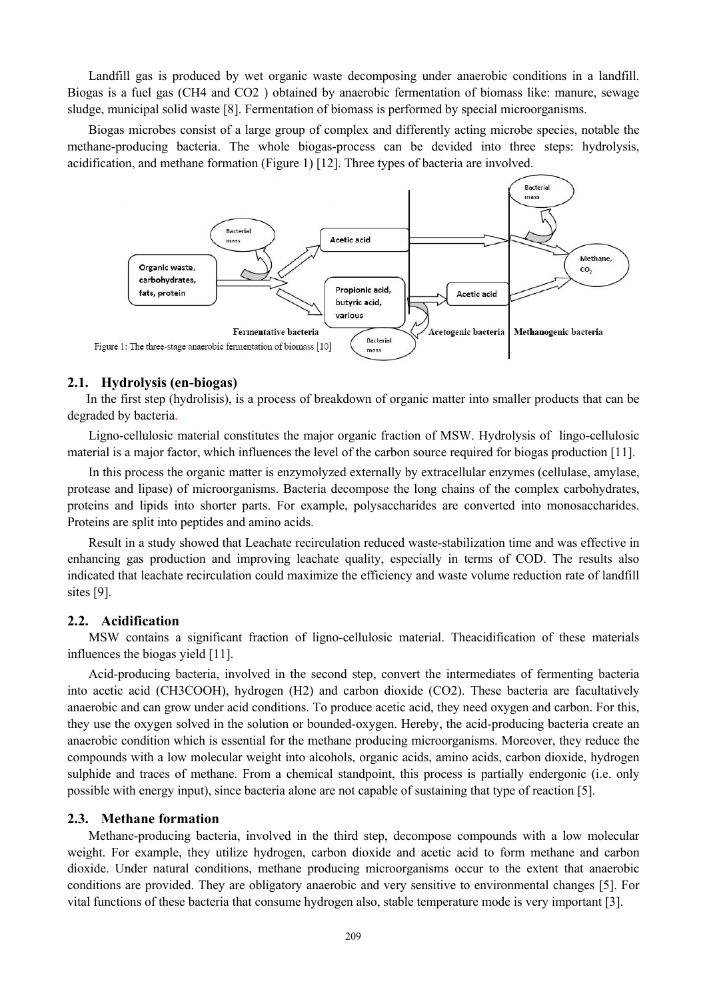Landfill gas is produced by wet organic waste decomposing under anaerobic conditions in a landfill. Biogas is a fuel gas (CH4 and CO2 ) obtained by anaerobic fermentation of biomass like: manure, sewage sludge, municipal solid waste [8]. Fermentation of biomass is performed by special microorganisms.

Biogas microbes consist of a large group of complex and differently acting microbe species, notable the methane-producing bacteria. The whole biogas-process can be devided into three steps: hydrolysis, acidification, and methane formation (Figure 1) [12]. Three types of bacteria are involved.



#### **2.1. Hydrolysis (en-biogas)**

In the first step (hydrolisis), is a process of breakdown of organic matter into smaller products that can be degraded by bacteria.

Ligno-cellulosic material constitutes the major organic fraction of MSW. Hydrolysis of lingo-cellulosic material is a major factor, which influences the level of the carbon source required for biogas production [11].

In this process the organic matter is enzymolyzed externally by extracellular enzymes (cellulase, amylase, protease and lipase) of microorganisms. Bacteria decompose the long chains of the complex carbohydrates, proteins and lipids into shorter parts. For example, polysaccharides are converted into monosaccharides. Proteins are split into peptides and amino acids.

Result in a study showed that Leachate recirculation reduced waste-stabilization time and was effective in enhancing gas production and improving leachate quality, especially in terms of COD. The results also indicated that leachate recirculation could maximize the efficiency and waste volume reduction rate of landfill sites [9].

#### **2.2. Acidification**

MSW contains a significant fraction of ligno-cellulosic material. Theacidification of these materials influences the biogas yield [11].

Acid-producing bacteria, involved in the second step, convert the intermediates of fermenting bacteria into acetic acid (CH3COOH), hydrogen (H2) and carbon dioxide (CO2). These bacteria are facultatively anaerobic and can grow under acid conditions. To produce acetic acid, they need oxygen and carbon. For this, they use the oxygen solved in the solution or bounded-oxygen. Hereby, the acid-producing bacteria create an anaerobic condition which is essential for the methane producing microorganisms. Moreover, they reduce the compounds with a low molecular weight into alcohols, organic acids, amino acids, carbon dioxide, hydrogen sulphide and traces of methane. From a chemical standpoint, this process is partially endergonic (i.e. only possible with energy input), since bacteria alone are not capable of sustaining that type of reaction [5].

#### **2.3. Methane formation**

Methane-producing bacteria, involved in the third step, decompose compounds with a low molecular weight. For example, they utilize hydrogen, carbon dioxide and acetic acid to form methane and carbon dioxide. Under natural conditions, methane producing microorganisms occur to the extent that anaerobic conditions are provided. They are obligatory anaerobic and very sensitive to environmental changes [5]. For vital functions of these bacteria that consume hydrogen also, stable temperature mode is very important [3].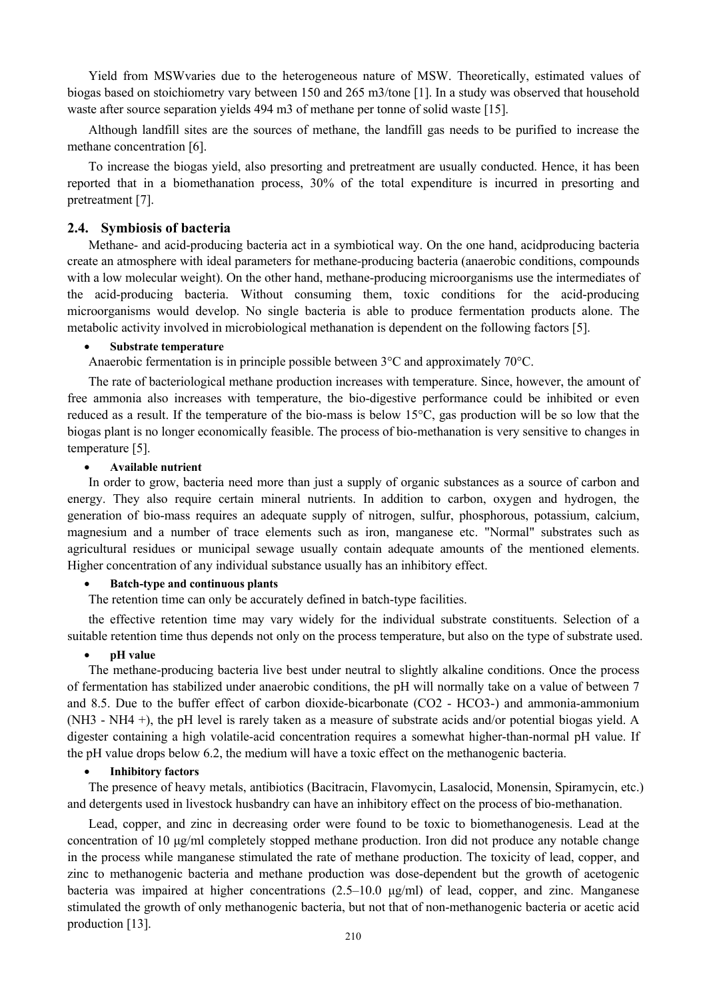Yield from MSWvaries due to the heterogeneous nature of MSW. Theoretically, estimated values of biogas based on stoichiometry vary between 150 and 265 m3/tone [1]. In a study was observed that household waste after source separation yields 494 m3 of methane per tonne of solid waste [15].

Although landfill sites are the sources of methane, the landfill gas needs to be purified to increase the methane concentration [6].

To increase the biogas yield, also presorting and pretreatment are usually conducted. Hence, it has been reported that in a biomethanation process, 30% of the total expenditure is incurred in presorting and pretreatment [7].

#### **2.4. Symbiosis of bacteria**

Methane- and acid-producing bacteria act in a symbiotical way. On the one hand, acidproducing bacteria create an atmosphere with ideal parameters for methane-producing bacteria (anaerobic conditions, compounds with a low molecular weight). On the other hand, methane-producing microorganisms use the intermediates of the acid-producing bacteria. Without consuming them, toxic conditions for the acid-producing microorganisms would develop. No single bacteria is able to produce fermentation products alone. The metabolic activity involved in microbiological methanation is dependent on the following factors [5].

#### • **Substrate temperature**

Anaerobic fermentation is in principle possible between 3°C and approximately 70°C.

The rate of bacteriological methane production increases with temperature. Since, however, the amount of free ammonia also increases with temperature, the bio-digestive performance could be inhibited or even reduced as a result. If the temperature of the bio-mass is below 15°C, gas production will be so low that the biogas plant is no longer economically feasible. The process of bio-methanation is very sensitive to changes in temperature [5].

#### • **Available nutrient**

In order to grow, bacteria need more than just a supply of organic substances as a source of carbon and energy. They also require certain mineral nutrients. In addition to carbon, oxygen and hydrogen, the generation of bio-mass requires an adequate supply of nitrogen, sulfur, phosphorous, potassium, calcium, magnesium and a number of trace elements such as iron, manganese etc. "Normal" substrates such as agricultural residues or municipal sewage usually contain adequate amounts of the mentioned elements. Higher concentration of any individual substance usually has an inhibitory effect.

#### • **Batch-type and continuous plants**

The retention time can only be accurately defined in batch-type facilities.

the effective retention time may vary widely for the individual substrate constituents. Selection of a suitable retention time thus depends not only on the process temperature, but also on the type of substrate used.

#### • **pH value**

The methane-producing bacteria live best under neutral to slightly alkaline conditions. Once the process of fermentation has stabilized under anaerobic conditions, the pH will normally take on a value of between 7 and 8.5. Due to the buffer effect of carbon dioxide-bicarbonate (CO2 - HCO3-) and ammonia-ammonium (NH3 - NH4 +), the pH level is rarely taken as a measure of substrate acids and/or potential biogas yield. A digester containing a high volatile-acid concentration requires a somewhat higher-than-normal pH value. If the pH value drops below 6.2, the medium will have a toxic effect on the methanogenic bacteria.

#### • **Inhibitory factors**

The presence of heavy metals, antibiotics (Bacitracin, Flavomycin, Lasalocid, Monensin, Spiramycin, etc.) and detergents used in livestock husbandry can have an inhibitory effect on the process of bio-methanation.

Lead, copper, and zinc in decreasing order were found to be toxic to biomethanogenesis. Lead at the concentration of 10 μg/ml completely stopped methane production. Iron did not produce any notable change in the process while manganese stimulated the rate of methane production. The toxicity of lead, copper, and zinc to methanogenic bacteria and methane production was dose-dependent but the growth of acetogenic bacteria was impaired at higher concentrations  $(2.5-10.0 \text{ µg/ml})$  of lead, copper, and zinc. Manganese stimulated the growth of only methanogenic bacteria, but not that of non-methanogenic bacteria or acetic acid production [13].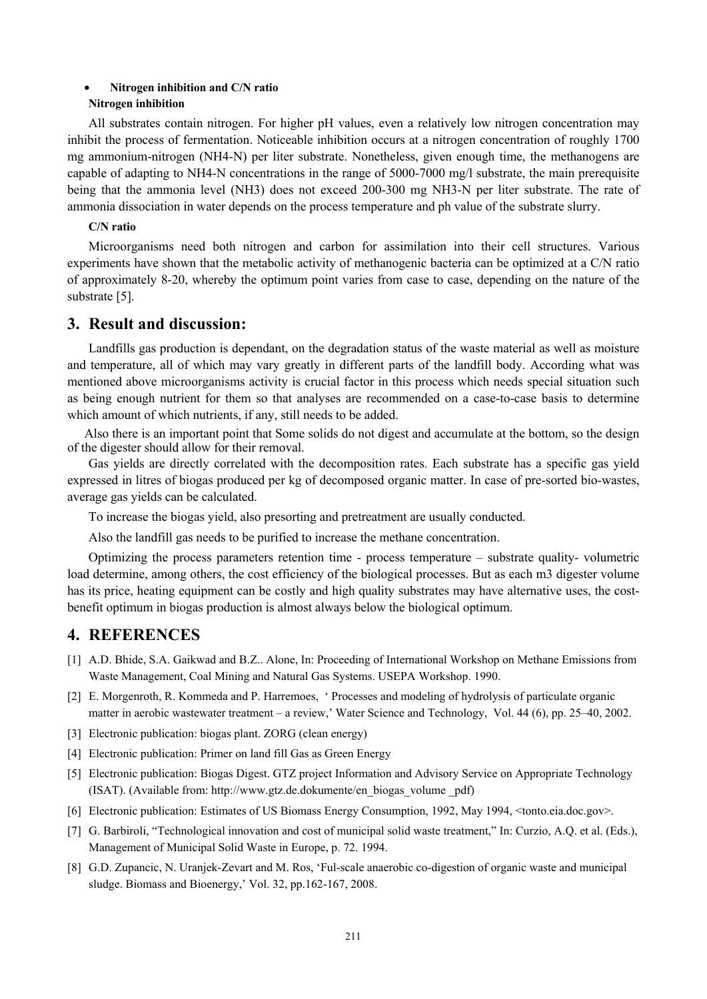#### • **Nitrogen inhibition and C/N ratio Nitrogen inhibition**

All substrates contain nitrogen. For higher pH values, even a relatively low nitrogen concentration may inhibit the process of fermentation. Noticeable inhibition occurs at a nitrogen concentration of roughly 1700 mg ammonium-nitrogen (NH4-N) per liter substrate. Nonetheless, given enough time, the methanogens are capable of adapting to NH4-N concentrations in the range of 5000-7000 mg/l substrate, the main prerequisite being that the ammonia level (NH3) does not exceed 200-300 mg NH3-N per liter substrate. The rate of ammonia dissociation in water depends on the process temperature and ph value of the substrate slurry.

#### **C/N ratio**

Microorganisms need both nitrogen and carbon for assimilation into their cell structures. Various experiments have shown that the metabolic activity of methanogenic bacteria can be optimized at a C/N ratio of approximately 8-20, whereby the optimum point varies from case to case, depending on the nature of the substrate [5].

### **3. Result and discussion:**

Landfills gas production is dependant, on the degradation status of the waste material as well as moisture and temperature, all of which may vary greatly in different parts of the landfill body. According what was mentioned above microorganisms activity is crucial factor in this process which needs special situation such as being enough nutrient for them so that analyses are recommended on a case-to-case basis to determine which amount of which nutrients, if any, still needs to be added.

Also there is an important point that Some solids do not digest and accumulate at the bottom, so the design of the digester should allow for their removal.

Gas yields are directly correlated with the decomposition rates. Each substrate has a specific gas yield expressed in litres of biogas produced per kg of decomposed organic matter. In case of pre-sorted bio-wastes, average gas yields can be calculated.

To increase the biogas yield, also presorting and pretreatment are usually conducted.

Also the landfill gas needs to be purified to increase the methane concentration.

Optimizing the process parameters retention time - process temperature – substrate quality- volumetric load determine, among others, the cost efficiency of the biological processes. But as each m3 digester volume has its price, heating equipment can be costly and high quality substrates may have alternative uses, the costbenefit optimum in biogas production is almost always below the biological optimum.

# **4. REFERENCES**

- [1] A.D. Bhide, S.A. Gaikwad and B.Z.. Alone, In: Proceeding of International Workshop on Methane Emissions from Waste Management, Coal Mining and Natural Gas Systems. USEPA Workshop. 1990.
- [2] E. Morgenroth, R. Kommeda and P. Harremoes, ' Processes and modeling of hydrolysis of particulate organic matter in aerobic wastewater treatment – a review,' Water Science and Technology, Vol. 44 (6), pp. 25–40, 2002.
- [3] Electronic publication: biogas plant. ZORG (clean energy)
- [4] Electronic publication: Primer on land fill Gas as Green Energy
- [5] Electronic publication: Biogas Digest. GTZ project Information and Advisory Service on Appropriate Technology (ISAT). (Available from: http://www.gtz.de.dokumente/en\_biogas\_volume \_pdf)
- [6] Electronic publication: Estimates of US Biomass Energy Consumption, 1992, May 1994, <tonto.eia.doc.gov>.
- [7] G. Barbiroli, "Technological innovation and cost of municipal solid waste treatment," In: Curzio, A.Q. et al. (Eds.), Management of Municipal Solid Waste in Europe, p. 72. 1994.
- [8] G.D. Zupancic, N. Uranjek-Zevart and M. Ros, 'Ful-scale anaerobic co-digestion of organic waste and municipal sludge. Biomass and Bioenergy,' Vol. 32, pp.162-167, 2008.